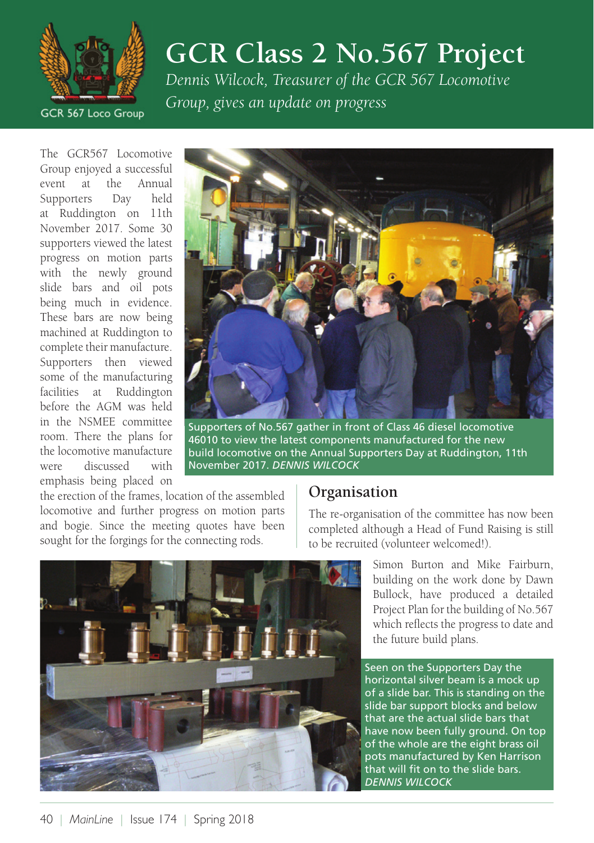

# **GCR Class 2 No.567 Project**

*Dennis Wilcock, Treasurer of the GCR 567 Locomotive Group, gives an update on progress*

The GCR567 Locomotive Group enjoyed a successful event at the Annual Supporters Day held at Ruddington on 11th November 2017. Some 30 supporters viewed the latest progress on motion parts with the newly ground slide bars and oil pots being much in evidence. These bars are now being machined at Ruddington to complete their manufacture. Supporters then viewed some of the manufacturing facilities at Ruddington before the AGM was held in the NSMEE committee room. There the plans for the locomotive manufacture were discussed with emphasis being placed on



Supporters of No.567 gather in front of Class 46 diesel locomotive 46010 to view the latest components manufactured for the new build locomotive on the Annual Supporters Day at Ruddington, 11th November 2017. *DENNIS WILCOCK*

the erection of the frames, location of the assembled locomotive and further progress on motion parts and bogie. Since the meeting quotes have been sought for the forgings for the connecting rods.

#### **Organisation**

The re-organisation of the committee has now been completed although a Head of Fund Raising is still to be recruited (volunteer welcomed!).



Simon Burton and Mike Fairburn, building on the work done by Dawn Bullock, have produced a detailed Project Plan for the building of No.567 which reflects the progress to date and the future build plans.

Seen on the Supporters Day the horizontal silver beam is a mock up of a slide bar. This is standing on the slide bar support blocks and below that are the actual slide bars that have now been fully ground. On top of the whole are the eight brass oil pots manufactured by Ken Harrison that will fit on to the slide bars. *DENNIS WILCOCK*